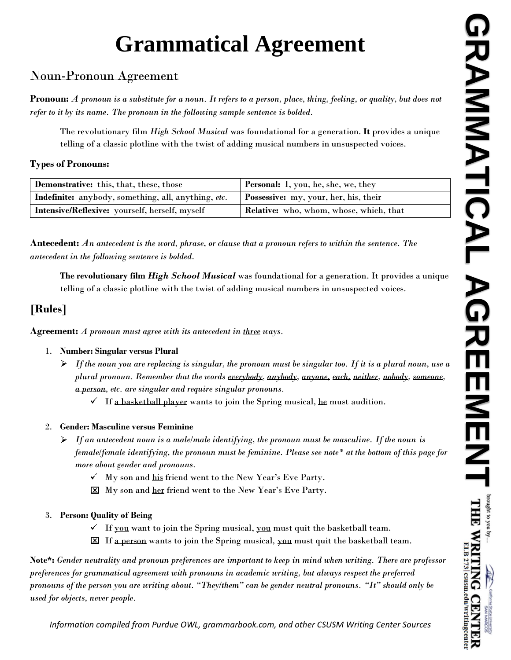# **Grammatical Agreement**

## Noun-Pronoun Agreement

**Pronoun:** *A pronoun is a substitute for a noun. It refers to a person, place, thing, feeling, or quality, but does not refer to it by its name. The pronoun in the following sample sentence is bolded.*

The revolutionary film *High School Musical* was foundational for a generation. **It** provides a unique telling of a classic plotline with the twist of adding musical numbers in unsuspected voices.

#### **Types of Pronouns:**

| <b>Demonstrative:</b> this, that, these, those      | <b>Personal:</b> I, you, he, she, we, they     |
|-----------------------------------------------------|------------------------------------------------|
| Indefinite: anybody, something, all, anything, etc. | <b>Possessive:</b> my, your, her, his, their   |
| Intensive/Reflexive: yourself, herself, myself      | <b>Relative:</b> who, whom, whose, which, that |

**Antecedent:** *An antecedent is the word, phrase, or clause that a pronoun refers to within the sentence. The antecedent in the following sentence is bolded.*

**The revolutionary film** *High School Musical* was foundational for a generation. It provides a unique telling of a classic plotline with the twist of adding musical numbers in unsuspected voices.

# **[Rules]**

**Agreement:** *A pronoun must agree with its antecedent in three ways.*

## 1. **Number: Singular versus Plural**

- *If the noun you are replacing is singular, the pronoun must be singular too. If it is a plural noun, use a plural pronoun. Remember that the words everybody, anybody, anyone, each, neither, nobody, someone, a person, etc. are singular and require singular pronouns.* 
	- $\checkmark$  If a basketball player wants to join the Spring musical, he must audition.

## 2. **Gender: Masculine versus Feminine**

- $\triangleright$  If an antecedent noun is a male/male identifying, the pronoun must be masculine. If the noun is *female/female identifying, the pronoun must be feminine. Please see note\* at the bottom of this page for more about gender and pronouns.* 
	- $\checkmark$  My son and his friend went to the New Year's Eve Party.
	- My son and her friend went to the New Year's Eve Party.
- 3. **Person: Quality of Being**
	- $\checkmark$  If you want to join the Spring musical, you must quit the basketball team.
	- $\boxtimes$  If a person wants to join the Spring musical, you must quit the basketball team.

**Note\*:** *Gender neutrality and pronoun preferences are important to keep in mind when writing. There are professor preferences for grammatical agreement with pronouns in academic writing, but always respect the preferred pronouns of the person you are writing about. "They/them" can be gender neutral pronouns. "It" should only be used for objects, never people.* 

*Information compiled from Purdue OWL, grammarbook.com, and other CSUSM Writing Center Sources*